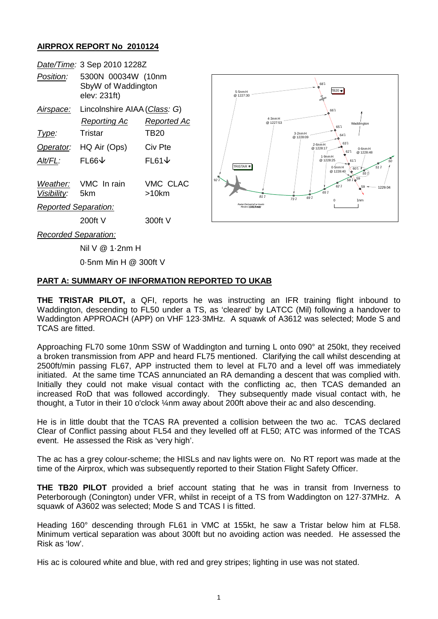## **AIRPROX REPORT No 2010124**

|                             | Date/Time: 3 Sep 2010 1228Z                              |                                           |
|-----------------------------|----------------------------------------------------------|-------------------------------------------|
| <i>Position:</i>            | 5300N 00034W (10nm<br>SbyW of Waddington<br>elev: 231ft) |                                           |
| Airspace:                   | Lincolnshire AIAA (Class: G)                             |                                           |
|                             | <b>Reporting Ac</b>                                      | <b>Reported Ac</b>                        |
| Type:                       | Tristar                                                  | TB20                                      |
| Operator:                   | HQ Air (Ops)                                             | Civ Pte                                   |
| Alt/FL:                     | $FL66\triangledown$                                      | $FL61\textcolor{red}{\blacktriangledown}$ |
| Visibility: 5km             | Weather: VMC In rain                                     | VMC CLAC<br>>10km                         |
| <b>Reported Separation:</b> |                                                          |                                           |
|                             | 200ft V                                                  | 300ft V                                   |
| — <i>11</i> A               |                                                          |                                           |



*Recorded Separation:*

Nil V @ 1·2nm H

0·5nm Min H @ 300ft V

## **PART A: SUMMARY OF INFORMATION REPORTED TO UKAB**

**THE TRISTAR PILOT,** a QFI, reports he was instructing an IFR training flight inbound to Waddington, descending to FL50 under a TS, as 'cleared' by LATCC (Mil) following a handover to Waddington APPROACH (APP) on VHF 123·3MHz. A squawk of A3612 was selected; Mode S and TCAS are fitted.

Approaching FL70 some 10nm SSW of Waddington and turning L onto 090° at 250kt, they received a broken transmission from APP and heard FL75 mentioned. Clarifying the call whilst descending at 2500ft/min passing FL67, APP instructed them to level at FL70 and a level off was immediately initiated. At the same time TCAS annunciated an RA demanding a descent that was complied with. Initially they could not make visual contact with the conflicting ac, then TCAS demanded an increased RoD that was followed accordingly. They subsequently made visual contact with, he thought, a Tutor in their 10 o'clock ¼nm away about 200ft above their ac and also descending.

He is in little doubt that the TCAS RA prevented a collision between the two ac. TCAS declared Clear of Conflict passing about FL54 and they levelled off at FL50; ATC was informed of the TCAS event. He assessed the Risk as 'very high'.

The ac has a grey colour-scheme; the HISLs and nav lights were on. No RT report was made at the time of the Airprox, which was subsequently reported to their Station Flight Safety Officer.

**THE TB20 PILOT** provided a brief account stating that he was in transit from Inverness to Peterborough (Conington) under VFR, whilst in receipt of a TS from Waddington on 127·37MHz. A squawk of A3602 was selected; Mode S and TCAS I is fitted.

Heading 160° descending through FL61 in VMC at 155kt, he saw a Tristar below him at FL58. Minimum vertical separation was about 300ft but no avoiding action was needed. He assessed the Risk as 'low'.

His ac is coloured white and blue, with red and grey stripes; lighting in use was not stated.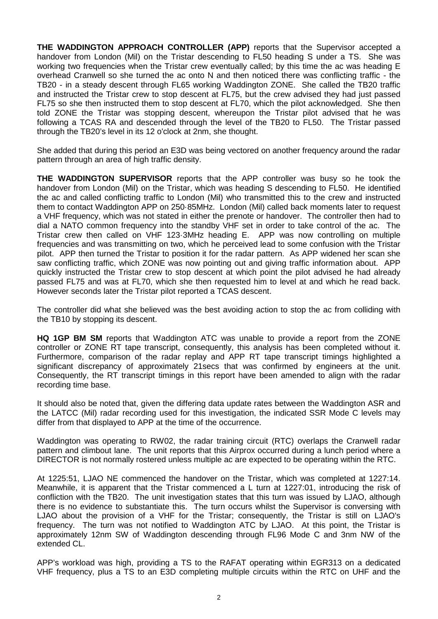**THE WADDINGTON APPROACH CONTROLLER (APP)** reports that the Supervisor accepted a handover from London (Mil) on the Tristar descending to FL50 heading S under a TS. She was working two frequencies when the Tristar crew eventually called; by this time the ac was heading E overhead Cranwell so she turned the ac onto N and then noticed there was conflicting traffic - the TB20 - in a steady descent through FL65 working Waddington ZONE. She called the TB20 traffic and instructed the Tristar crew to stop descent at FL75, but the crew advised they had just passed FL75 so she then instructed them to stop descent at FL70, which the pilot acknowledged. She then told ZONE the Tristar was stopping descent, whereupon the Tristar pilot advised that he was following a TCAS RA and descended through the level of the TB20 to FL50. The Tristar passed through the TB20's level in its 12 o'clock at 2nm, she thought.

She added that during this period an E3D was being vectored on another frequency around the radar pattern through an area of high traffic density.

**THE WADDINGTON SUPERVISOR** reports that the APP controller was busy so he took the handover from London (Mil) on the Tristar, which was heading S descending to FL50. He identified the ac and called conflicting traffic to London (Mil) who transmitted this to the crew and instructed them to contact Waddington APP on 250·85MHz. London (Mil) called back moments later to request a VHF frequency, which was not stated in either the prenote or handover. The controller then had to dial a NATO common frequency into the standby VHF set in order to take control of the ac. The Tristar crew then called on VHF 123·3MHz heading E. APP was now controlling on multiple frequencies and was transmitting on two, which he perceived lead to some confusion with the Tristar pilot. APP then turned the Tristar to position it for the radar pattern. As APP widened her scan she saw conflicting traffic, which ZONE was now pointing out and giving traffic information about. APP quickly instructed the Tristar crew to stop descent at which point the pilot advised he had already passed FL75 and was at FL70, which she then requested him to level at and which he read back. However seconds later the Tristar pilot reported a TCAS descent.

The controller did what she believed was the best avoiding action to stop the ac from colliding with the TB10 by stopping its descent.

**HQ 1GP BM SM** reports that Waddington ATC was unable to provide a report from the ZONE controller or ZONE RT tape transcript, consequently, this analysis has been completed without it. Furthermore, comparison of the radar replay and APP RT tape transcript timings highlighted a significant discrepancy of approximately 21secs that was confirmed by engineers at the unit. Consequently, the RT transcript timings in this report have been amended to align with the radar recording time base.

It should also be noted that, given the differing data update rates between the Waddington ASR and the LATCC (Mil) radar recording used for this investigation, the indicated SSR Mode C levels may differ from that displayed to APP at the time of the occurrence.

Waddington was operating to RW02, the radar training circuit (RTC) overlaps the Cranwell radar pattern and climbout lane. The unit reports that this Airprox occurred during a lunch period where a DIRECTOR is not normally rostered unless multiple ac are expected to be operating within the RTC.

At 1225:51, LJAO NE commenced the handover on the Tristar, which was completed at 1227:14. Meanwhile, it is apparent that the Tristar commenced a L turn at 1227:01, introducing the risk of confliction with the TB20. The unit investigation states that this turn was issued by LJAO, although there is no evidence to substantiate this. The turn occurs whilst the Supervisor is conversing with LJAO about the provision of a VHF for the Tristar; consequently, the Tristar is still on LJAO's frequency. The turn was not notified to Waddington ATC by LJAO. At this point, the Tristar is approximately 12nm SW of Waddington descending through FL96 Mode C and 3nm NW of the extended CL.

APP's workload was high, providing a TS to the RAFAT operating within EGR313 on a dedicated VHF frequency, plus a TS to an E3D completing multiple circuits within the RTC on UHF and the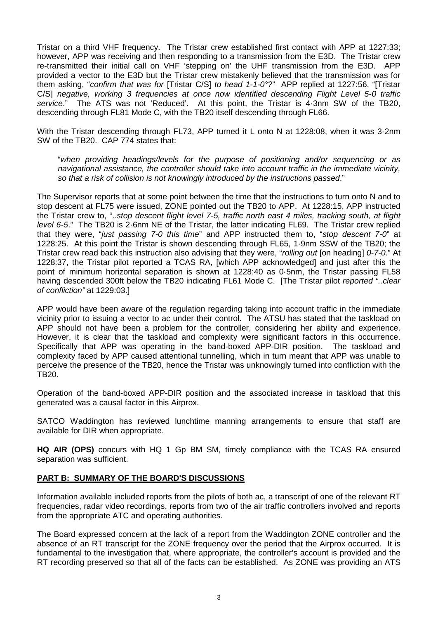Tristar on a third VHF frequency. The Tristar crew established first contact with APP at 1227:33; however, APP was receiving and then responding to a transmission from the E3D. The Tristar crew re-transmitted their initial call on VHF 'stepping on' the UHF transmission from the E3D. APP provided a vector to the E3D but the Tristar crew mistakenly believed that the transmission was for them asking, "*confirm that was for* [Tristar C/S] *to head 1-1-0°?*" APP replied at 1227:56, "[Tristar C/S] *negative, working 3 frequencies at once now identified descending Flight Level 5-0 traffic service*." The ATS was not 'Reduced'. At this point, the Tristar is 4·3nm SW of the TB20, descending through FL81 Mode C, with the TB20 itself descending through FL66.

With the Tristar descending through FL73, APP turned it L onto N at 1228:08, when it was 3·2nm SW of the TB20. CAP 774 states that:

"*when providing headings/levels for the purpose of positioning and/or sequencing or as navigational assistance, the controller should take into account traffic in the immediate vicinity, so that a risk of collision is not knowingly introduced by the instructions passed*."

The Supervisor reports that at some point between the time that the instructions to turn onto N and to stop descent at FL75 were issued, ZONE pointed out the TB20 to APP. At 1228:15, APP instructed the Tristar crew to, "..*stop descent flight level 7-5, traffic north east 4 miles, tracking south, at flight level 6-5*." The TB20 is 2·6nm NE of the Tristar, the latter indicating FL69. The Tristar crew replied that they were, "*just passing 7-0 this time*" and APP instructed them to, "*stop descent 7-0*" at 1228:25. At this point the Tristar is shown descending through FL65, 1·9nm SSW of the TB20; the Tristar crew read back this instruction also advising that they were, "*rolling out* [on heading] *0-7-0*." At 1228:37, the Tristar pilot reported a TCAS RA, [which APP acknowledged] and just after this the point of minimum horizontal separation is shown at 1228:40 as 0·5nm, the Tristar passing FL58 having descended 300ft below the TB20 indicating FL61 Mode C. [The Tristar pilot *reported "..clear of confliction"* at 1229:03.]

APP would have been aware of the regulation regarding taking into account traffic in the immediate vicinity prior to issuing a vector to ac under their control. The ATSU has stated that the taskload on APP should not have been a problem for the controller, considering her ability and experience. However, it is clear that the taskload and complexity were significant factors in this occurrence. Specifically that APP was operating in the band-boxed APP-DIR position. The taskload and complexity faced by APP caused attentional tunnelling, which in turn meant that APP was unable to perceive the presence of the TB20, hence the Tristar was unknowingly turned into confliction with the TB20.

Operation of the band-boxed APP-DIR position and the associated increase in taskload that this generated was a causal factor in this Airprox.

SATCO Waddington has reviewed lunchtime manning arrangements to ensure that staff are available for DIR when appropriate.

**HQ AIR (OPS)** concurs with HQ 1 Gp BM SM, timely compliance with the TCAS RA ensured separation was sufficient.

## **PART B: SUMMARY OF THE BOARD'S DISCUSSIONS**

Information available included reports from the pilots of both ac, a transcript of one of the relevant RT frequencies, radar video recordings, reports from two of the air traffic controllers involved and reports from the appropriate ATC and operating authorities.

The Board expressed concern at the lack of a report from the Waddington ZONE controller and the absence of an RT transcript for the ZONE frequency over the period that the Airprox occurred. It is fundamental to the investigation that, where appropriate, the controller's account is provided and the RT recording preserved so that all of the facts can be established. As ZONE was providing an ATS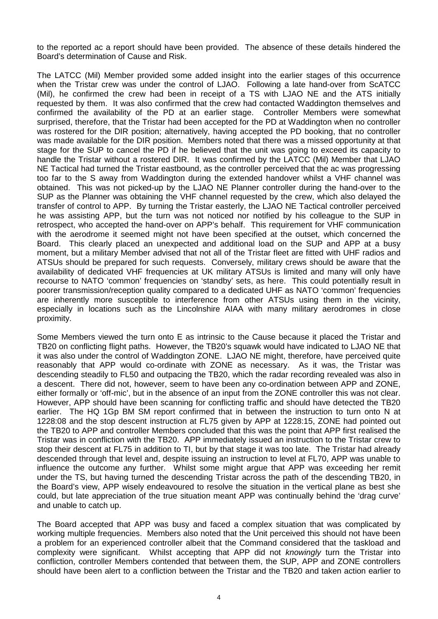to the reported ac a report should have been provided. The absence of these details hindered the Board's determination of Cause and Risk.

The LATCC (Mil) Member provided some added insight into the earlier stages of this occurrence when the Tristar crew was under the control of LJAO. Following a late hand-over from ScATCC (Mil), he confirmed the crew had been in receipt of a TS with LJAO NE and the ATS initially requested by them. It was also confirmed that the crew had contacted Waddington themselves and confirmed the availability of the PD at an earlier stage. Controller Members were somewhat surprised, therefore, that the Tristar had been accepted for the PD at Waddington when no controller was rostered for the DIR position; alternatively, having accepted the PD booking, that no controller was made available for the DIR position. Members noted that there was a missed opportunity at that stage for the SUP to cancel the PD if he believed that the unit was going to exceed its capacity to handle the Tristar without a rostered DIR. It was confirmed by the LATCC (Mil) Member that LJAO NE Tactical had turned the Tristar eastbound, as the controller perceived that the ac was progressing too far to the S away from Waddington during the extended handover whilst a VHF channel was obtained. This was not picked-up by the LJAO NE Planner controller during the hand-over to the SUP as the Planner was obtaining the VHF channel requested by the crew, which also delayed the transfer of control to APP. By turning the Tristar easterly, the LJAO NE Tactical controller perceived he was assisting APP, but the turn was not noticed nor notified by his colleague to the SUP in retrospect, who accepted the hand-over on APP's behalf. This requirement for VHF communication with the aerodrome it seemed might not have been specified at the outset, which concerned the Board. This clearly placed an unexpected and additional load on the SUP and APP at a busy moment, but a military Member advised that not all of the Tristar fleet are fitted with UHF radios and ATSUs should be prepared for such requests. Conversely, military crews should be aware that the availability of dedicated VHF frequencies at UK military ATSUs is limited and many will only have recourse to NATO 'common' frequencies on 'standby' sets, as here. This could potentially result in poorer transmission/reception quality compared to a dedicated UHF as NATO 'common' frequencies are inherently more susceptible to interference from other ATSUs using them in the vicinity, especially in locations such as the Lincolnshire AIAA with many military aerodromes in close proximity.

Some Members viewed the turn onto E as intrinsic to the Cause because it placed the Tristar and TB20 on conflicting flight paths. However, the TB20's squawk would have indicated to LJAO NE that it was also under the control of Waddington ZONE. LJAO NE might, therefore, have perceived quite reasonably that APP would co-ordinate with ZONE as necessary. As it was, the Tristar was descending steadily to FL50 and outpacing the TB20, which the radar recording revealed was also in a descent. There did not, however, seem to have been any co-ordination between APP and ZONE, either formally or 'off-mic', but in the absence of an input from the ZONE controller this was not clear. However, APP should have been scanning for conflicting traffic and should have detected the TB20 earlier. The HQ 1Gp BM SM report confirmed that in between the instruction to turn onto N at 1228:08 and the stop descent instruction at FL75 given by APP at 1228:15, ZONE had pointed out the TB20 to APP and controller Members concluded that this was the point that APP first realised the Tristar was in confliction with the TB20. APP immediately issued an instruction to the Tristar crew to stop their descent at FL75 in addition to TI, but by that stage it was too late. The Tristar had already descended through that level and, despite issuing an instruction to level at FL70, APP was unable to influence the outcome any further. Whilst some might argue that APP was exceeding her remit under the TS, but having turned the descending Tristar across the path of the descending TB20, in the Board's view, APP wisely endeavoured to resolve the situation in the vertical plane as best she could, but late appreciation of the true situation meant APP was continually behind the 'drag curve' and unable to catch up.

The Board accepted that APP was busy and faced a complex situation that was complicated by working multiple frequencies. Members also noted that the Unit perceived this should not have been a problem for an experienced controller albeit that the Command considered that the taskload and complexity were significant. Whilst accepting that APP did not *knowingly* turn the Tristar into confliction, controller Members contended that between them, the SUP, APP and ZONE controllers should have been alert to a confliction between the Tristar and the TB20 and taken action earlier to